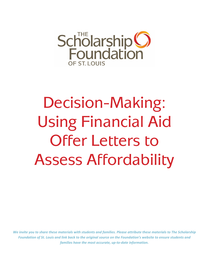

# Decision-Making: Using Financial Aid Offer Letters to Assess Affordability

*We invite you to share these materials with students and families. Please attribute these materials to The Scholarship Foundation of St. Louis and link back to the original source on the Foundation's website to ensure students and families have the most accurate, up-to-date information.*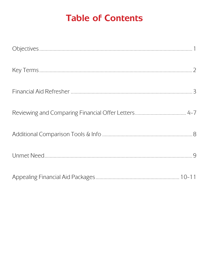## **Table of Contents**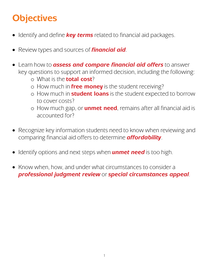## **Objectives**

- Identify and define *key terms* related to financial aid packages.
- Review types and sources of *financial aid*.
- Learn how to *assess and compare financial aid offers* to answer key questions to support an informed decision, including the following:
	- o What is the **total cost**?
	- o How much in **free money** is the student receiving?
	- o How much in **student loans** is the student expected to borrow to cover costs?
	- o How much gap, or **unmet need**, remains after all financial aid is accounted for?
- Recognize key information students need to know when reviewing and comparing financial aid offers to determine *affordability*.
- Identify options and next steps when *unmet need* is too high.
- Know when, how, and under what circumstances to consider a *professional judgment review* or *special circumstances appeal*.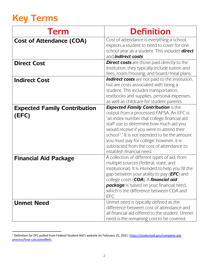## **Key Terms**

| <b>Term</b>                                  | <b>Definition</b>                                                                                                                                                                                                                                                                                                                                                                                                 |
|----------------------------------------------|-------------------------------------------------------------------------------------------------------------------------------------------------------------------------------------------------------------------------------------------------------------------------------------------------------------------------------------------------------------------------------------------------------------------|
| <b>Cost of Attendance (COA)</b>              | Cost of attendance is everything a school<br>expects a student to need to cover for one<br>school year as a student. This includes <b>direct</b><br>and <i>indirect</i> costs.                                                                                                                                                                                                                                    |
| <b>Direct Cost</b>                           | <b>Direct costs</b> are those paid directly to the<br>institution; they typically include tuition and<br>fees, room/housing, and board/meal plans.                                                                                                                                                                                                                                                                |
| <b>Indirect Cost</b>                         | <b>Indirect costs</b> are not paid to the institution,<br>but are costs associated with being a<br>student. This includes transportation,<br>textbooks and supplies, personal expenses,<br>as well as childcare for student parents.                                                                                                                                                                              |
| <b>Expected Family Contribution</b><br>(EFC) | <b>Expected Family Contribution is the</b><br>output from a processed FAFSA. An EFC is<br>"an index number that college financial aid<br>staff use to determine how much aid you<br>would receive if you were to attend their<br>school <sup>1</sup> ." It is not intended to be the amount<br>you must pay for college; however, it is<br>subtracted from the cost of attendance to<br>establish financial need. |
| <b>Financial Aid Package</b>                 | A collection of different types of aid, from<br>multiple sources (federal, state, and<br>institutional). It is intended to help you fill the<br>gap between your ability to pay ( <b>EFC</b> ) and<br>college costs (COA). A financial aid<br><b>package</b> is based on your financial need,<br>which is the difference between COA and<br>EFC.                                                                  |
| <b>Unmet Need</b>                            | Unmet need is typically defined as the<br>difference between cost of attendance and<br>all financial aid offered to the student. Unmet<br>need is the remaining cost to be covered.                                                                                                                                                                                                                               |

<span id="page-4-0"></span><sup>&</sup>lt;sup>1</sup> Definition for EFC pulled from Federal Student Aid's website on February 25, 2021[: https://studentaid.gov/complete-aid](https://studentaid.gov/complete-aid-process/how-calculated#efc)[process/how-calculated#efc.](https://studentaid.gov/complete-aid-process/how-calculated#efc)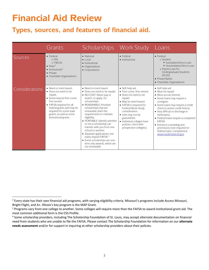## **Financial Aid Review**

## **Types, sources, and features of financial aid.**

|                       | Grants                                                                                                                                                                                                                                           | <b>Scholarships</b>                                                                                                                                                                                                                                                                                                                                                                                                                                                                                                       | <b>Work Study</b>                                                                                                                                                                                                                                                                                 | Loans                                                                                                                                                                                                                                                                                                                                                                                                               |
|-----------------------|--------------------------------------------------------------------------------------------------------------------------------------------------------------------------------------------------------------------------------------------------|---------------------------------------------------------------------------------------------------------------------------------------------------------------------------------------------------------------------------------------------------------------------------------------------------------------------------------------------------------------------------------------------------------------------------------------------------------------------------------------------------------------------------|---------------------------------------------------------------------------------------------------------------------------------------------------------------------------------------------------------------------------------------------------------------------------------------------------|---------------------------------------------------------------------------------------------------------------------------------------------------------------------------------------------------------------------------------------------------------------------------------------------------------------------------------------------------------------------------------------------------------------------|
| Sources               | $\bullet$ Federal<br>o Pell<br>$\circ$ ESEOG<br>$\bullet$ State <sup>2</sup><br>$\bullet$ Institutional <sup>3</sup><br>• Private<br>• Charitable Organizations                                                                                  | • National<br>$\bullet$ Local<br>• Institutional<br>• Organizations<br>• Corporations                                                                                                                                                                                                                                                                                                                                                                                                                                     | $\bullet$ Federal<br>• Institutional                                                                                                                                                                                                                                                              | $\bullet$ Federal<br>o Student<br>• Subsidized Direct Loan<br>• Unsubsidized Direct Loan<br>o Parent Loan for<br>Undergraduate Students<br>(PLUS)<br>• Private Banks<br>• Charitable Organizations                                                                                                                                                                                                                  |
| <b>Considerations</b> | • Need or merit based.<br>• Does not need to be<br>repaid.<br>• Some may be first-come.<br>first-served.<br>• FAFSA required for all<br>federal grants and may be<br>required for some state<br>grants, as well as some<br>institutional grants. | • Need or merit based.<br>• Does not need to be repaid.<br>• NO COST: Never pay to<br>search, or apply, for<br>scholarships.<br>• RENEWABLE: Prioritize<br>scholarships that are<br>renewable; learn the<br>requirements to maintain<br>eligibility.<br>• PORTABLE: Identify whether<br>or not a scholarship can<br>transfer with you from one<br>school to another.<br>• Separate applications, but<br>many require FAFSA. <sup>4</sup><br>• Some scholarships are one-<br>time only awards, which are<br>not renewable. | • Self-help aid<br>• First-come, first-served<br>• Does not need to be<br>repaid.<br>• May be need-based.<br>• FAFSA is required for<br>Federal Work-Study<br>consideration.<br>• Jobs may not be<br>guaranteed.<br>• Individual colleges have<br>policies; check with<br>prospective college(s). | • Self-help aid<br>• Must be repaid.<br>• Most accrue interest.<br>• Some loans may require a<br>consigner.<br>• Some loans may require a credit<br>check to assess credit history.<br>• Very difficult to discharge in<br>bankruptcy.<br>• Federal loans require a completed<br><b>FAFSA</b><br>• Entrance counseling and<br>promissory note required for<br>federal loans; completed at<br>www.studentaid.ed.gov. |

<span id="page-5-0"></span><sup>&</sup>lt;sup>2</sup> Every state has their own financial aid programs, with varying eligibility criteria. Missouri's programs include Access Missouri, Bright Flight, and A+. Illinois's key program is the MAP Grant.

<span id="page-5-1"></span><sup>&</sup>lt;sup>3</sup> Programs vary from one college to another. Some colleges will require more than the FAFSA to award institutional grant aid. The most common additional form is the CSS Profile.

<span id="page-5-2"></span><sup>4</sup> Some scholarship providers, including The Scholarship Foundation of St. Louis, may accept alternate documentation on financial need from students who are unable to file the FAFSA. Please contact The Scholarship Foundation for information on our **alternate needs assessment** and/or for support in inquiring at other scholarship providers about their policies.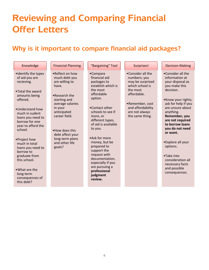## **Reviewing and Comparing Financial Offer Letters**

## **Why is it important to compare financial aid packages?**

| Knowledge                                                                                                                                                                                                                                            | <b>Financial Planning</b>                                                                                                     | "Bargaining" Tool                                                                                                                                                                                                                                               | Surprises!                                                                                                             | <b>Decision-Making</b>                                                                                                                                                                                                                       |
|------------------------------------------------------------------------------------------------------------------------------------------------------------------------------------------------------------------------------------------------------|-------------------------------------------------------------------------------------------------------------------------------|-----------------------------------------------------------------------------------------------------------------------------------------------------------------------------------------------------------------------------------------------------------------|------------------------------------------------------------------------------------------------------------------------|----------------------------------------------------------------------------------------------------------------------------------------------------------------------------------------------------------------------------------------------|
| •Identify the types<br>of aid you are<br>recieving.<br>•Total the award<br>amounts being<br>offered.                                                                                                                                                 | • Reflect on how<br>much debt you<br>are willing to<br>have.<br>$\bullet$ Research the<br>starting and<br>average salaries    | •Compare<br>financial aid<br>packages to<br>establish which is<br>the most<br>affordable<br>option.                                                                                                                                                             | •Consider all the<br>numbers; you<br>may be surprised<br>which school is<br>the most<br>affordable.<br>•Remember, cost | $\bullet$ Consider all the<br>information at<br>your disposal as<br>you make this<br>decision.<br>•Know your rights;<br>ask for help if you                                                                                                  |
| .Understand how<br>much in sudent<br>loans you need to<br>borrow for one<br>year to afford the<br>school.<br>•Project how<br>much in total<br>loans you need to<br>borrow to<br>graduate from<br>this school.<br>$\bullet$ What are the<br>long-term | in your<br>anticipated<br>career field.<br>• How does this<br>debt affect your<br>long-term plans<br>and other life<br>goals? | •Contact other<br>schools to see if<br>more, or<br>different types,<br>of aid is available<br>to you.<br>• Ask for more<br>money, but be<br>prepared to<br>support the<br>request with<br>documentation,<br>especially if you<br>are pursuing a<br>professional | and affordability<br>are not always<br>the same thing.                                                                 | are unsure about<br>anything.<br>Remember, you<br>are not required<br>to borrow loans<br>you do not need<br>or want.<br>•Explore all your<br>options.<br>•Take into<br>consideration all<br>necessary facts<br>and possible<br>consequences. |
| consequences of<br>this debt?                                                                                                                                                                                                                        |                                                                                                                               | judgment<br>review.                                                                                                                                                                                                                                             |                                                                                                                        |                                                                                                                                                                                                                                              |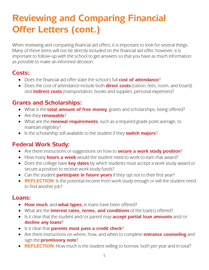## **Reviewing and Comparing Financial Offer Letters (cont.)**

When reviewing and comparing financial aid offers, it is important to look for several things. Many of these items will not be directly included on the financial aid offer; however, it is important to follow-up with the school to get answers so that you have as much information as possible to make an informed decision.

### **Costs:**

- Does the financial aid offer state the school's full **cost of attendance**?
- Does the cost of attendance include both **direct costs** (tuition, fees, room, and board) *and* **indirect costs** (transportation, books and supplies, personal expenses)?

## **Grants and Scholarships:**

- What is the **total amount of free money**, grants and scholarships, being offered?
- Are they **renewable**?
- What are the **renewal requirements**, such as a required grade point average, to maintain eligibility?
- Is the scholarship still available to the student if they **switch majors**?

## **Federal Work Study:**

- Are there instructions or suggestions on how to **secure a work study position**?
- How many **hours a week** would the student need to work to earn that award?
- Does the college have **key dates** by which students must accept a work study award or secure a position to receive work study funds?
- Can the student **participate in future years** if they opt not to their first year?
- **REFLECTION**: Is the potential income from work study enough or will the student need to find another job?

### **Loans:**

- **How much**, and **what types**, in loans have been offered?
- What are the **interest rates, terms, and conditions** of the loan(s) offered?
- Is it clear that the student and/or parent may **accept partial loan amounts** and/or **decline any loans**?
- Is it clear that **parents must pass a credit check**?
- Are there instructions on where, how, and when to complete **entrance counseling** and sign the **promissory note**?
- **REFLECTION**: How much is the student willing to borrow, both per year and in total?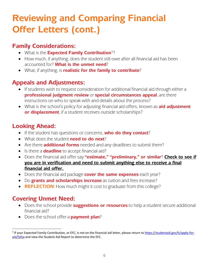## **Reviewing and Comparing Financial Offer Letters (cont.)**

### **Family Considerations:**

- What is the **Expected Family Contribution**[5](#page-8-0)?
- How much, if anything, does the student still owe after all financial aid has been accounted for? **What is the unmet need**?
- What, if anything, is **realistic for the family to contribute**?

## **Appeals and Adjustments:**

- If students wish to request consideration for additional financial aid through either a **professional judgment review** or **special circumstances appeal**, are there instructions on who to speak with and details about the process?
- What is the school's policy for adjusting financial aid offers, known as **aid adjustment or displacement**, if a student receives outside scholarships?

### **Looking Ahead:**

- If the student has questions or concerns, **who do they contact**?
- What does the student **need to do next**?
- Are there **additional forms** needed and any deadlines to submit them?
- Is there a **deadline** to accept financial aid?
- Does the financial aid offer say **"estimate," "preliminary," or similar**? **Check to see if you are in verification and need to submit anything else to receive a final financial aid offer.**
- Does the financial aid package **cover the same expenses** each year?
- Do **grants and scholarships increase** as tuition and fees increase?
- **REFLECTION:** How much might it cost to graduate from this college?

## **Covering Unmet Need:**

- Does the school provide **suggestions or resources** to help a student secure additional financial aid?
- Does the school offer a **payment plan**?

<span id="page-8-0"></span><sup>&</sup>lt;sup>5</sup> If your Expected Family Contribution, or EFC, is not on the financial aid letter, please return t[o https://studentaid.gov/h/apply-for](https://studentaid.gov/h/apply-for-aid/fafsa)[aid/fafsa](https://studentaid.gov/h/apply-for-aid/fafsa) and view the Student Aid Report to determine the EFC.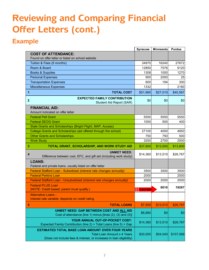## **Reviewing and Comparing Financial Offer Letters (cont.)**

## **Example**

|                                                                                                        | <b>Syracuse</b> | Minnesota | <b>Purdue</b> |
|--------------------------------------------------------------------------------------------------------|-----------------|-----------|---------------|
| <b>COST OF ATTENDANCE:</b>                                                                             |                 |           |               |
| Found on offer letter or listed on school website                                                      |                 |           |               |
| Tuition & Fees (9 months)                                                                              | 34970           | 16240     | 27672         |
| Room & Board                                                                                           | 12850           | 7576      | 9120          |
| Books & Supplies                                                                                       | 1308            | 1000      | 1270          |
| <b>Personal Expenses</b>                                                                               | 900             | 2000      | 25            |
| <b>Transportation Expenses</b>                                                                         | 600             | 194       | 300           |
| <b>Miscellaneous Expenses</b>                                                                          | 1332            |           | 2180          |
| 1<br><b>TOTAL COST</b>                                                                                 | \$51,960        | \$27,010  | \$40,567      |
| <b>EXPECTED FAMILY CONTRIBUTION</b><br>$\mathbf{2}$<br>Student Aid Report (SAR)                        | \$0             | \$0       | \$0           |
| <b>FINANCIAL AID:</b><br>Amount indicated on offer letter                                              |                 |           |               |
| <b>Federal Pell Grant</b>                                                                              | 5550            | 5550      | 5550          |
| <b>Federal SEOG Grant</b>                                                                              | 1000            | 500       | 400           |
| State Grants and Scholarships (Bright Flight, MAP, Access)                                             |                 |           |               |
| College Grants and Scholarships (aid offered through the school)                                       | 27100           | 4000      | 4850          |
| <b>Other Grants and Scholarships</b>                                                                   | 750             | 750       | 500           |
| <b>Work Study</b>                                                                                      | 3200            | 2700      | 2500          |
|                                                                                                        |                 |           |               |
| TOTAL GRANT, SCHOLARSHIP, AND WORK STUDY AID<br>3                                                      | \$37,600        | \$13,500  | \$13,800      |
| <b>UNMET NEED:</b><br>4<br>Difference between cost, EFC, and gift aid (including work study)           | \$14,360        | \$13,510  | \$26,767      |
| <b>LOANS:</b><br>Federal and private loans, usually listed on offer letter                             |                 |           |               |
| Federal Stafford Loan - Subsidized (interest rate changes annually)                                    | 3500            | 3500      | 3500          |
| <b>Federal Perkins Loan</b>                                                                            | 2000            |           | 2000          |
| Federal Stafford Loan - Unsubsidized (interest rate changes annually)                                  | 2000            | 2000      | 2000          |
| <b>Federal PLUS Loan</b><br>(NOTE: Credit based; parent must qualify.)                                 | <b>CAUTION</b>  | 8010      | 19267         |
| <b>Alternative Loans -</b><br>interest rate variable; depends on credit rating                         |                 |           |               |
| <b>TOTAL LOANS</b><br>5                                                                                | \$7,500         | \$13,510  | \$26,767      |
| UNMET NEED: GAP BETWEEN COST AND ALL AID<br>Cost of attendance (line 1) minus [lines (2), (3) and (5)] | \$6,860         | \$0       | \$0           |
| YOUR ANNUAL OUT-OF-POCKET COST:<br>Expected Family Contribution (line 2) + Total Loans (line 5) + Gap  | \$14,360        | \$13,510  | \$26,767      |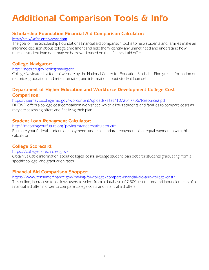## **Additional Comparison Tools & Info**

#### **Scholarship Foundation Financial Aid Comparison Calculator:**

#### <http://bit.ly/OfferLetterComparison>

The goal of The Scholarship Foundations financial aid comparison tool is to help students and families make an informed decision about college enrollment and help them identify any unmet need and understand how much in student loan debt may be borrowed based on their financial aid offer.

#### **College Navigator:**

#### <http://nces.ed.gov/collegenavigator>

College Navigator is a federal website by the National Center for Education Statistics. Find great information on net price, graduation and retention rates, and information about student loan debt.

#### **Department of Higher Education and Workforce Development College Cost Comparison:**

#### <https://journeytocollege.mo.gov/wp-content/uploads/sites/10/2017/06/Resource2.pdf>

DHEWD offers a college cost comparison worksheet, which allows students and families to compare costs as they are assessing offers and finalizing their plan.

#### **Student Loan Repayment Calculator:**

#### <http://mappingyourfuture.org/paying/standardcalculator.cfm>

Estimate your federal student loan payments under a standard repayment plan (equal payments) with this calculator.

#### **College Scorecard:**

#### <https://collegescorecard.ed.gov/>

Obtain valuable information about colleges' costs, average student loan debt for students graduating from a specific college, and graduation rates.

#### **Financial Aid Comparison Shopper:**

<https://www.consumerfinance.gov/paying-for-college/compare-financial-aid-and-college-cost/>

This online, interactive tool allows users to select from a database of 7,500 institutions and input elements of a financial aid offer in order to compare college costs and financial aid offers.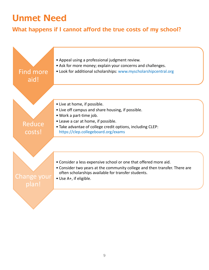## **Unmet Need**

### **What happens if I cannot afford the true costs of my school?**

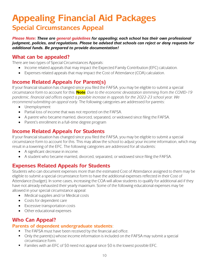## **Appealing Financial Aid Packages Special Circumstances Appeal**

*Please Note: These are general guidelines for appealing; each school has their own professional judgment, policies, and regulations. Please be advised that schools can reject or deny requests for additional funds. Be prepared to provide documentation!* 

#### **What can be appealed?**

There are two types of Special Circumstances Appeals:

- Income related appeals that may impact the Expected Family Contribution (EFC) calculation.
- Expenses related appeals that may impact the Cost of Attendance (COA) calculation.

### **Income Related Appeals for Parent(s)**

If your financial situation has changed since you filed the FAFSA, you may be eligible to submit a special circumstance form to account for this. **Note**: *Due to the economic devastation stemming from the COVID-19 pandemic, financial aid offices expect a possible increase in appeals for the 2022-23 school year. We recommend submitting an appeal early.* The following categories are addressed for parents:

- Unemployment
- Partial loss of income that was not reported on the FAFSA.
- A parent who became married, divorced, separated, or widowed since filing the FAFSA.
- Parent's enrollment in a full-time degree program

#### **Income Related Appeals for Students**

If your financial situation has changed since you filed the FAFSA, you may be eligible to submit a special circumstance form to account for this. This may allow the school to adjust your income information, which may result in a lowering of the EFC. The following categories are addressed for all students:

- A significant decrease in income.
- A student who became married, divorced, separated, or widowed since filing the FAFSA.

### **Expenses Related Appeals for Students**

Students who can document expenses more than the estimated Cost of Attendance assigned to them may be eligible to submit a special circumstance form to have the additional expenses reflected in their Cost of Attendance (budget). In some cases, increasing the COA will allow students to qualify for additional aid if they have not already exhausted their yearly maximum. Some of the following educational expenses may be allowed in your special circumstance appeal:

- Medical supplies and/or Medical costs
- Costs for dependent care
- Excessive transportation costs
- Other educational expenses

### **Who Can Appeal?**

#### **Parents of dependent undergraduate students**:

- The FAFSA must have been received by the financial aid office.
- Only the parent(s) whose income information is included on the FAFSA may submit a special circumstance form.
- Families with an EFC of \$0 need not appeal since \$0 is the lowest possible EFC.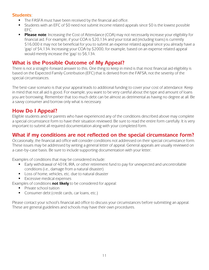#### **Students**:

- The FASFA must have been received by the financial aid office.
- Students with an EFC of \$0 need not submit income related appeals since \$0 is the lowest possible EFC.
- **Please note**: Increasing the Cost of Attendance (COA) may not necessarily increase your eligibility for financial aid. For example, if your COA is \$20,134 and your total aid (including loans) is currently \$16,000 it may not be beneficial for you to submit an expense related appeal since you already have a 'gap' of \$4,134. Increasing your COA by \$2000, for example, based on an expense related appeal would merely increase the 'gap' to \$6,134.

### **What is the Possible Outcome of My Appeal?**

There is not a straight-forward answer to this. One thing to keep in mind is that most financial aid eligibility is based on the Expected Family Contribution (EFC) that is derived from the FAFSA; not the severity of the special circumstances.

The best-case scenario is that your appeal leads to additional funding to cover your cost of attendance. Keep in mind that not all aid is good. For example, you want to be very careful about the type and amount of loans you are borrowing. Remember that too much debt can be almost as detrimental as having no degree at all. Be a savvy consumer and borrow only what is necessary.

### **How Do I Appeal?**

Eligible students and/or parents who have experienced any of the conditions described above may complete a special circumstance form to have their situation reviewed. Be sure to read the entire form carefully. It is very important to submit all required documentation along with your completed form.

### **What if my conditions are not reflected on the special circumstance form?**

Occasionally, the financial aid office will consider conditions not addressed on their special circumstance form. These issues may be addressed by writing a general letter of appeal. General appeals are usually reviewed on a case-by-case basis. Be sure to include supporting documentation with your letter.

Examples of conditions that may be considered include:

- Early withdrawal of 401K, IRA, or other retirement fund to pay for unexpected and uncontrollable conditions (i.e., damage from a natural disaster)
- **Loss of home, vehicles, etc. due to natural disaster**
- **Excessive medical expenses**

Examples of conditions **not likely** to be considered for appeal:

- **Private school tuition**
- **Consumer debt (credit cards, car loans, etc.)**

Please contact your school's financial aid office to discuss your circumstances before submitting an appeal. These are general guidelines and schools may have their own procedures.